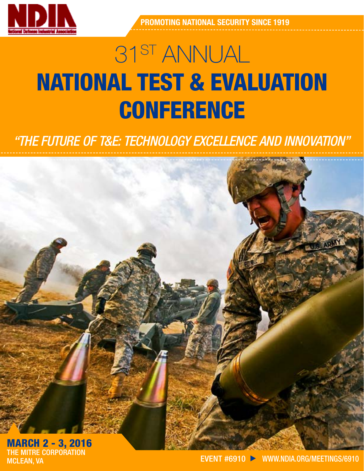

PROMOTING NATIONAL SECURITY SINCE 1919

# 31ST ANNUAL NATIONAL TEST & EVALUATION **CONFERENCE**

*"THE FUTURE OF T&E: TECHNOLOGY EXCELLENCE AND INNOVATION"* 



THE MITRE CORPORATION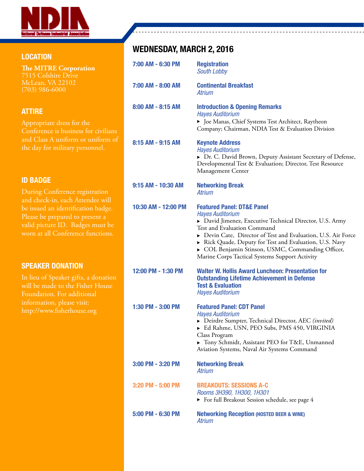

#### **LOCATION**

**The MITRE Corporation** 7515 Colshire Drive McLean, VA 22102  $\overline{(703)}$  986-6000

#### ATTIRE

Appropriate dress for the Conference is business for civilians and Class A uniform or uniform of

#### ID BADGE

During Conference registration and check-in, each Attendee will be issued an identification badge. Please be prepared to present a valid picture ID. Badges must be worn at all Conference functions.

#### SPEAKER DONATION

In lieu of Speaker gifts, a donation will be made to the Fisher House Foundation. For additional information, please visit: http://www.fisherhouse.org

#### WEDNESDAY, MARCH 2, 2016

| 7:00 AM - 6:30 PM   | <b>Registration</b><br><b>South Lobby</b>                                                                                                                                                                                                                                                                                                                                              |
|---------------------|----------------------------------------------------------------------------------------------------------------------------------------------------------------------------------------------------------------------------------------------------------------------------------------------------------------------------------------------------------------------------------------|
| 7:00 AM - 8:00 AM   | <b>Continental Breakfast</b><br><b>Atrium</b>                                                                                                                                                                                                                                                                                                                                          |
| 8:00 AM - 8:15 AM   | <b>Introduction &amp; Opening Remarks</b><br><b>Hayes Auditorium</b><br>• Joe Manas, Chief Systems Test Architect, Raytheon<br>Company; Chairman, NDIA Test & Evaluation Division                                                                                                                                                                                                      |
| 8:15 AM - 9:15 AM   | <b>Keynote Address</b><br><b>Hayes Auditorium</b><br>> Dr. C. David Brown, Deputy Assistant Secretary of Defense,<br>Developmental Test & Evaluation; Director, Test Resource<br>Management Center                                                                                                                                                                                     |
| 9:15 AM - 10:30 AM  | <b>Networking Break</b><br><b>Atrium</b>                                                                                                                                                                                                                                                                                                                                               |
| 10:30 AM - 12:00 PM | <b>Featured Panel: DT&amp;E Panel</b><br><b>Hayes Auditorium</b><br>David Jimenez, Executive Technical Director, U.S. Army<br>Test and Evaluation Command<br>Devin Cate, Director of Test and Evaluation, U.S. Air Force<br>Rick Quade, Deputy for Test and Evaluation, U.S. Navy<br>COL Benjamin Stinson, USMC, Commanding Officer,<br>Marine Corps Tactical Systems Support Activity |
| 12:00 PM - 1:30 PM  | <b>Walter W. Hollis Award Luncheon: Presentation for</b><br><b>Outstanding Lifetime Achievement in Defense</b><br><b>Test &amp; Evaluation</b><br><b>Hayes Auditorium</b>                                                                                                                                                                                                              |
| 1:30 PM - 3:00 PM   | <b>Featured Panel: CDT Panel</b><br><b>Hayes Auditorium</b><br>Deirdre Sumpter, Technical Director, AEC (invited)<br>Ed Rahme, USN, PEO Subs, PMS 450, VIRGINIA<br>Class Program<br>Tony Schmidt, Assistant PEO for T&E, Unmanned<br>Aviation Systems, Naval Air Systems Command                                                                                                       |
| 3:00 PM - 3:20 PM   | <b>Networking Break</b><br><b>Atrium</b>                                                                                                                                                                                                                                                                                                                                               |
| 3:20 PM - 5:00 PM   | <b>BREAKOUTS: SESSIONS A-C</b><br>Rooms 3H390, 1H300, 1H301<br>• For full Breakout Session schedule, see page 4                                                                                                                                                                                                                                                                        |
| 5:00 PM - 6:30 PM   | <b>Networking Reception (HOSTED BEER &amp; WINE)</b><br><b>Atrium</b>                                                                                                                                                                                                                                                                                                                  |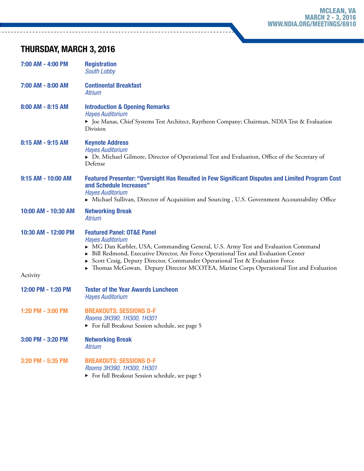#### THURSDAY, MARCH 3, 2016

| 7:00 AM - 4:00 PM               | <b>Registration</b><br><b>South Lobby</b>                                                                                                                                                                                                                                                                                                                                                                         |  |
|---------------------------------|-------------------------------------------------------------------------------------------------------------------------------------------------------------------------------------------------------------------------------------------------------------------------------------------------------------------------------------------------------------------------------------------------------------------|--|
| 7:00 AM - 8:00 AM               | <b>Continental Breakfast</b><br>Atrium                                                                                                                                                                                                                                                                                                                                                                            |  |
| 8:00 AM - 8:15 AM               | <b>Introduction &amp; Opening Remarks</b><br><b>Hayes Auditorium</b><br>▶ Joe Manas, Chief Systems Test Architect, Raytheon Company; Chairman, NDIA Test & Evaluation<br>Division                                                                                                                                                                                                                                 |  |
| 8:15 AM - 9:15 AM               | <b>Keynote Address</b><br><b>Hayes Auditorium</b><br>> Dr. Michael Gilmore, Director of Operational Test and Evaluation, Office of the Secretary of<br>Defense                                                                                                                                                                                                                                                    |  |
| 9:15 AM - 10:00 AM              | Featured Presenter: "Oversight Has Resulted in Few Significant Disputes and Limited Program Cost<br>and Schedule Increases"<br><b>Hayes Auditorium</b><br>• Michael Sullivan, Director of Acquisition and Sourcing, U.S. Government Accountability Office                                                                                                                                                         |  |
| 10:00 AM - 10:30 AM             | <b>Networking Break</b><br><b>Atrium</b>                                                                                                                                                                                                                                                                                                                                                                          |  |
| 10:30 AM - 12:00 PM<br>Activity | <b>Featured Panel: OT&amp;E Panel</b><br><b>Hayes Auditorium</b><br>▶ MG Dan Karbler, USA, Commanding General, U.S. Army Test and Evaluation Command<br>Bill Redmond, Executive Director, Air Force Operational Test and Evaluation Center<br>Scott Craig, Deputy Director, Commander Operational Test & Evaluation Force<br>Thomas McGowan, Deputy Director MCOTEA, Marine Corps Operational Test and Evaluation |  |
| 12:00 PM - 1:20 PM              | <b>Tester of the Year Awards Luncheon</b>                                                                                                                                                                                                                                                                                                                                                                         |  |
|                                 | <b>Hayes Auditorium</b>                                                                                                                                                                                                                                                                                                                                                                                           |  |
| 1:20 PM - 3:00 PM               | <b>BREAKOUTS: SESSIONS D-F</b><br>Rooms 3H390, 1H300, 1H301<br>For full Breakout Session schedule, see page 5                                                                                                                                                                                                                                                                                                     |  |
| 3:00 PM - 3:20 PM               | <b>Networking Break</b><br><b>Atrium</b>                                                                                                                                                                                                                                                                                                                                                                          |  |
| 3:20 PM - 5:35 PM               | <b>BREAKOUTS: SESSIONS D-F</b><br>Rooms 3H390, 1H300, 1H301<br>For full Breakout Session schedule, see page 5                                                                                                                                                                                                                                                                                                     |  |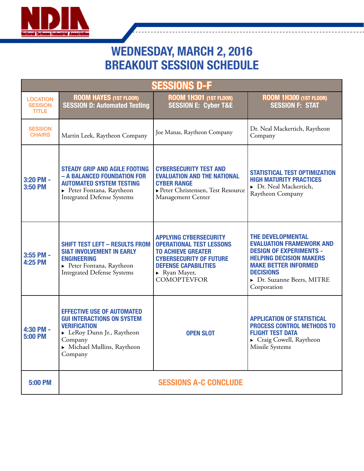

## WEDNESDAY, MARCH 2, 2016 BREAKOUT SESSION SCHEDULE

| <b>SESSIONS D-F</b>                               |                                                                                                                                                                              |                                                                                                                                                                                                     |                                                                                                                                                                                                                                 |  |  |  |
|---------------------------------------------------|------------------------------------------------------------------------------------------------------------------------------------------------------------------------------|-----------------------------------------------------------------------------------------------------------------------------------------------------------------------------------------------------|---------------------------------------------------------------------------------------------------------------------------------------------------------------------------------------------------------------------------------|--|--|--|
| <b>LOCATION</b><br><b>SESSION</b><br><b>TITLE</b> | <b>ROOM HAYES (1ST FLOOR)</b><br><b>SESSION D: Automated Testing</b>                                                                                                         | <b>ROOM 1H301 (1ST FLOOR)</b><br><b>SESSION E: Cyber T&amp;E</b>                                                                                                                                    | <b>ROOM 1H300 (1ST FLOOR)</b><br><b>SESSION F: STAT</b>                                                                                                                                                                         |  |  |  |
| <b>SESSION</b><br><b>CHAIRS</b>                   | Martin Leek, Raytheon Company                                                                                                                                                | Joe Manas, Raytheon Company                                                                                                                                                                         | Dr. Neal Mackertich, Raytheon<br>Company                                                                                                                                                                                        |  |  |  |
| 3:20 PM -<br>3:50 PM                              | <b>STEADY GRIP AND AGILE FOOTING</b><br>- A BALANCED FOUNDATION FOR<br><b>AUTOMATED SYSTEM TESTING</b><br>▶ Peter Fontana, Raytheon<br><b>Integrated Defense Systems</b>     | <b>CYBERSECURITY TEST AND</b><br><b>EVALUATION AND THE NATIONAL</b><br><b>CYBER RANGE</b><br>Peter Christensen, Test Resource<br>Management Center                                                  | <b>STATISTICAL TEST OPTIMIZATION</b><br><b>HIGH MATURITY PRACTICES</b><br>> Dr. Neal Mackertich,<br>Raytheon Company                                                                                                            |  |  |  |
| 3:55 PM -<br><b>4:25 PM</b>                       | <b>SHIFT TEST LEFT - RESULTS FROM</b><br><b>SI&amp;T INVOLVEMENT IN EARLY</b><br><b>ENGINEERING</b><br>Peter Fontana, Raytheon<br><b>Integrated Defense Systems</b>          | <b>APPLYING CYBERSECURITY</b><br><b>OPERATIONAL TEST LESSONS</b><br><b>TO ACHIEVE GREATER</b><br><b>CYBERSECURITY OF FUTURE</b><br><b>DEFENSE CAPABILITIES</b><br>Ryan Mayer,<br><b>COMOPTEVFOR</b> | <b>THE DEVELOPMENTAL</b><br><b>EVALUATION FRAMEWORK AND</b><br><b>DESIGN OF EXPERIMENTS -</b><br><b>HELPING DECISION MAKERS</b><br><b>MAKE BETTER INFORMED</b><br><b>DECISIONS</b><br>> Dr. Suzanne Beers, MITRE<br>Corporation |  |  |  |
| 4:30 PM -<br>5:00 PM                              | <b>EFFECTIVE USE OF AUTOMATED</b><br><b>GUI INTERACTIONS ON SYSTEM</b><br><b>VERIFICATION</b><br>LeRoy Dunn Jr., Raytheon<br>Company<br>Michael Mullins, Raytheon<br>Company | <b>OPEN SLOT</b>                                                                                                                                                                                    | <b>APPLICATION OF STATISTICAL</b><br><b>PROCESS CONTROL METHODS TO</b><br><b>FLIGHT TEST DATA</b><br>Craig Cowell, Raytheon<br>Missile Systems                                                                                  |  |  |  |
| <b>5:00 PM</b>                                    | <b>SESSIONS A-C CONCLUDE</b>                                                                                                                                                 |                                                                                                                                                                                                     |                                                                                                                                                                                                                                 |  |  |  |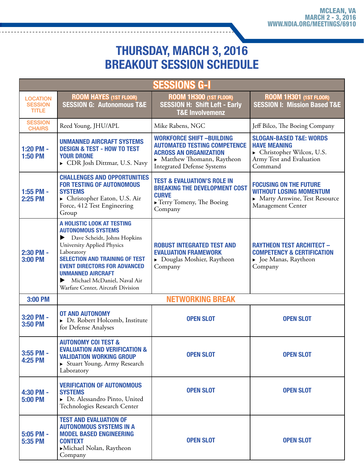### THURSDAY, MARCH 3, 2016 BREAKOUT SESSION SCHEDULE

| <b>SESSIONS G-I</b>                               |                                                                                                                                                                                                                                                                                                                         |                                                                                                                                                                              |                                                                                                                                   |  |  |
|---------------------------------------------------|-------------------------------------------------------------------------------------------------------------------------------------------------------------------------------------------------------------------------------------------------------------------------------------------------------------------------|------------------------------------------------------------------------------------------------------------------------------------------------------------------------------|-----------------------------------------------------------------------------------------------------------------------------------|--|--|
| <b>LOCATION</b><br><b>SESSION</b><br><b>TITLE</b> | <b>ROOM HAYES (1ST FLOOR)</b><br><b>SESSION G: Autonomous T&amp;E</b>                                                                                                                                                                                                                                                   | <b>ROOM 1H300 (1ST FLOOR)</b><br><b>SESSION H: Shift Left - Early</b><br><b>T&amp;E Involvemenz</b>                                                                          | <b>ROOM 1H301 (1ST FLOOR)</b><br><b>SESSION I: Mission Based T&amp;E</b>                                                          |  |  |
| <b>SESSION</b><br><b>CHAIRS</b>                   | Reed Young, JHU/APL                                                                                                                                                                                                                                                                                                     | Mike Rabens, NGC                                                                                                                                                             | Jeff Bilco, The Boeing Company                                                                                                    |  |  |
| 1:20 PM -<br><b>1:50 PM</b>                       | <b>UNMANNED AIRCRAFT SYSTEMS</b><br><b>DESIGN &amp; TEST - HOW TO TEST</b><br><b>YOUR DRONE</b><br>CDR Josh Dittmar, U.S. Navy                                                                                                                                                                                          | <b>WORKFORCE SHIFT -BUILDING</b><br><b>AUTOMATED TESTING COMPETENCE</b><br><b>ACROSS AN ORGANIZATION</b><br>• Matthew Thomann, Raytheon<br><b>Integrated Defense Systems</b> | <b>SLOGAN-BASED T&amp;E: WORDS</b><br><b>HAVE MEANING</b><br>Christopher Wilcox, U.S.<br>Army Test and Evaluation<br>Command      |  |  |
| 1:55 PM -<br><b>2:25 PM</b>                       | <b>CHALLENGES AND OPPORTUNITIES</b><br><b>FOR TESTING OF AUTONOMOUS</b><br><b>SYSTEMS</b><br>Christopher Eaton, U.S. Air<br>Force, 412 Test Engineering<br>Group                                                                                                                                                        | <b>TEST &amp; EVALUATION'S ROLE IN</b><br><b>BREAKING THE DEVELOPMENT COST</b><br><b>CURVE</b><br>Ferry Tomeny, The Boeing<br>Company                                        | <b>FOCUSING ON THE FUTURE</b><br><b>WITHOUT LOSING MOMENTUM</b><br>Marty Arnwine, Test Resource<br>Management Center              |  |  |
| 2:30 PM -<br><b>3:00 PM</b>                       | A HOLISTIC LOOK AT TESTING<br><b>AUTONOMOUS SYSTEMS</b><br>Dave Scheidt, Johns Hopkins<br>University Applied Physics<br>Laboratory<br><b>SELECTION AND TRAINING OF TEST</b><br><b>EVENT DIRECTORS FOR ADVANCED</b><br><b>UNMANNED AIRCRAFT</b><br>Michael McDaniel, Naval Air<br>▶<br>Warfare Center, Aircraft Division | <b>ROBUST INTEGRATED TEST AND</b><br><b>EVALUATION FRAMEWORK</b><br>▶ Douglas Moshier, Raytheon<br>Company                                                                   | <b>RAYTHEON TEST ARCHITECT -</b><br><b>COMPETENCY &amp; CERTIFICATION</b><br>$\blacktriangleright$ Joe Manas, Raytheon<br>Company |  |  |
| 3:00 PM                                           | <b>NETWORKING BREAK</b>                                                                                                                                                                                                                                                                                                 |                                                                                                                                                                              |                                                                                                                                   |  |  |
| 3:20 PM -<br><b>3:50 PM</b>                       | <b>OT AND AUTONOMY</b><br>> Dr. Robert Holcomb, Institute<br>for Defense Analyses                                                                                                                                                                                                                                       | <b>OPEN SLOT</b>                                                                                                                                                             | <b>OPEN SLOT</b>                                                                                                                  |  |  |
| $3:55$ PM -<br><b>4:25 PM</b>                     | <b>AUTONOMY COI TEST &amp;</b><br><b>EVALUATION AND VERIFICATION &amp;</b><br><b>VALIDATION WORKING GROUP</b><br>Stuart Young, Army Research<br>Laboratory                                                                                                                                                              | <b>OPEN SLOT</b>                                                                                                                                                             | <b>OPEN SLOT</b>                                                                                                                  |  |  |
| 4:30 PM -<br><b>5:00 PM</b>                       | <b>VERIFICATION OF AUTONOMOUS</b><br><b>SYSTEMS</b><br>> Dr. Alessandro Pinto, United<br>Technologies Research Center                                                                                                                                                                                                   | <b>OPEN SLOT</b>                                                                                                                                                             | <b>OPEN SLOT</b>                                                                                                                  |  |  |
| $5:05$ PM -<br>5:35 PM                            | <b>TEST AND EVALUATION OF</b><br><b>AUTONOMOUS SYSTEMS IN A</b><br><b>MODEL BASED ENGINEERING</b><br><b>CONTEXT</b><br>Michael Nolan, Raytheon<br>Company                                                                                                                                                               | <b>OPEN SLOT</b>                                                                                                                                                             | <b>OPEN SLOT</b>                                                                                                                  |  |  |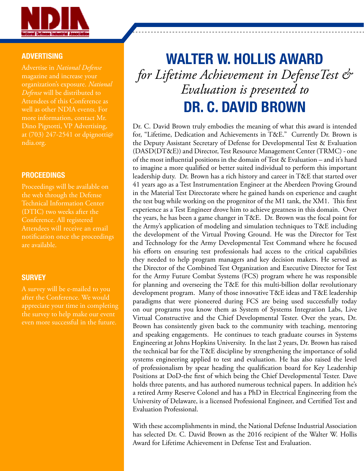

#### ADVERTISING

Advertise in *National Defense* magazine and increase your organization's exposure. *National Defense* will be distributed to Attendees of this Conference as well as other NDIA events. For more information, contact Mr. Dino Pignotti, VP Advertising, at (703) 247-2541 or dpignotti@ ndia.org.

#### PROCEEDINGS

Proceedings will be available on the web through the Defense Technical Information Center (DTIC) two weeks after the Conference. All registered Attendees will receive an email notification once the proceedings are available.

#### **SURVEY**

A survey will be e-mailed to you after the Conference. We would appreciate your time in completing the survey to help make our event

## WALTER W. HOLLIS AWARD *for Lifetime Achievement in DefenseTest & Evaluation is presented to* DR. C. DAVID BROWN

Dr. C. David Brown truly embodies the meaning of what this award is intended for, "Lifetime, Dedication and Achievements in T&E." Currently Dr. Brown is the Deputy Assistant Secretary of Defense for Developmental Test & Evaluation (DASD(DT&E)) and Director, Test Resource Management Center (TRMC) - one of the most influential positions in the domain of Test & Evaluation – and it's hard to imagine a more qualified or better suited individual to perform this important leadership duty. Dr. Brown has a rich history and career in T&E that started over 41 years ago as a Test Instrumentation Engineer at the Aberdeen Proving Ground in the Material Test Directorate where he gained hands on experience and caught the test bug while working on the progenitor of the M1 tank, the XM1. This first experience as a Test Engineer drove him to achieve greatness in this domain. Over the years, he has been a game changer in T&E. Dr. Brown was the focal point for the Army's application of modeling and simulation techniques to T&E including the development of the Virtual Proving Ground. He was the Director for Test and Technology for the Army Developmental Test Command where he focused his efforts on ensuring test professionals had access to the critical capabilities they needed to help program managers and key decision makers. He served as the Director of the Combined Test Organization and Executive Director for Test for the Army Future Combat Systems (FCS) program where he was responsible for planning and overseeing the T&E for this multi-billion dollar revolutionary development program. Many of those innovative T&E ideas and T&E leadership paradigms that were pioneered during FCS are being used successfully today on our programs you know them as System of Systems Integration Labs, Live Virtual Constructive and the Chief Developmental Tester. Over the years, Dr. Brown has consistently given back to the community with teaching, mentoring and speaking engagements. He continues to teach graduate courses in Systems Engineering at Johns Hopkins University. In the last 2 years, Dr. Brown has raised the technical bar for the T&E discipline by strengthening the importance of solid systems engineering applied to test and evaluation. He has also raised the level of professionalism by spear heading the qualification board for Key Leadership Positions at DoD-the first of which being the Chief Developmental Tester. Dave holds three patents, and has authored numerous technical papers. In addition he's a retired Army Reserve Colonel and has a PhD in Electrical Engineering from the University of Delaware, is a licensed Professional Engineer, and Certified Test and Evaluation Professional.

With these accomplishments in mind, the National Defense Industrial Association has selected Dr. C. David Brown as the 2016 recipient of the Walter W. Hollis Award for Lifetime Achievement in Defense Test and Evaluation.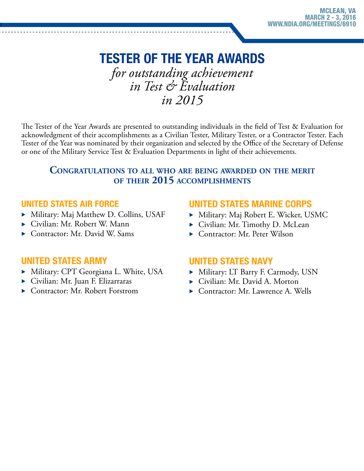## TESTER OF THE YEAR AWARDS

*for outstanding achievement in Test & Evaluation in 2015*

The Tester of the Year Awards are presented to outstanding individuals in the field of Test & Evaluation for acknowledgment of their accomplishments as a Civilian Tester, Military Tester, or a Contractor Tester. Each Tester of the Year was nominated by their organization and selected by the Office of the Secretary of Defense or one of the Military Service Test & Evaluation Departments in light of their achievements.

#### **Congratulations to all who are being awarded on the merit of their 2015 accomplishments**

#### UNITED STATES AIR FORCE

- $\blacktriangleright$  Military: Maj Matthew D. Collins, USAF
- $\blacktriangleright$  Civilian: Mr. Robert W. Mann
- Contractor: Mr. David W. Sams

#### UNITED STATES ARMY

- Military: CPT Georgiana L. White, USA
- ▶ Civilian: Mr. Juan F. Elizarraras
- Contractor: Mr. Robert Forstrom

#### UNITED STATES MARINE CORPS

- Military: Maj Robert E. Wicker, USMC
- $\triangleright$  Civilian: Mr. Timothy D. McLean
- $\blacktriangleright$  Contractor: Mr. Peter Wilson

#### UNITED STATES NAVY

- Military: LT Barry F. Carmody, USN
- ▶ Civilian: Mr. David A. Morton
- Contractor: Mr. Lawrence A. Wells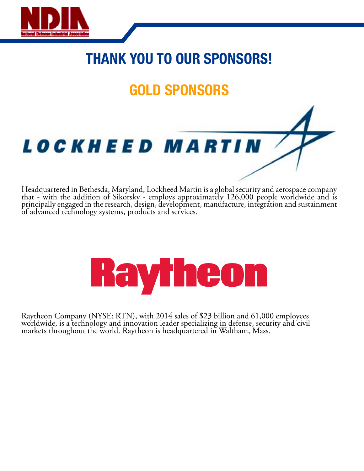

## THANK YOU TO OUR SPONSORS!

## GOLD SPONSORS

# LOCKHEED MARTIN

Headquartered in Bethesda, Maryland, Lockheed Martin is a global security and aerospace company that - with the addition of Sikorsky - employs approximately 126,000 people worldwide and is principally engaged in the research, design, development, manufacture, integration and sustainment of advanced technology systems, products and services.



Raytheon Company (NYSE: RTN), with 2014 sales of \$23 billion and 61,000 employees worldwide, is a technology and innovation leader specializing in defense, security and civil markets throughout the world. Raytheon is headquartered in Waltham, Mass.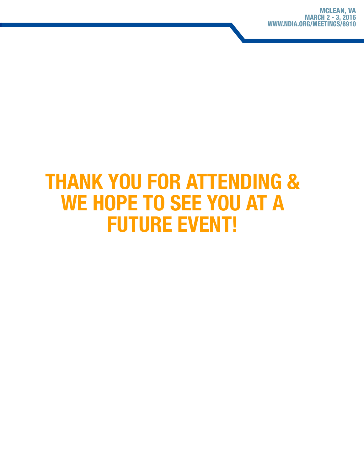## THANK YOU FOR ATTENDING & WE HOPE TO SEE YOU AT A FUTURE EVENT!